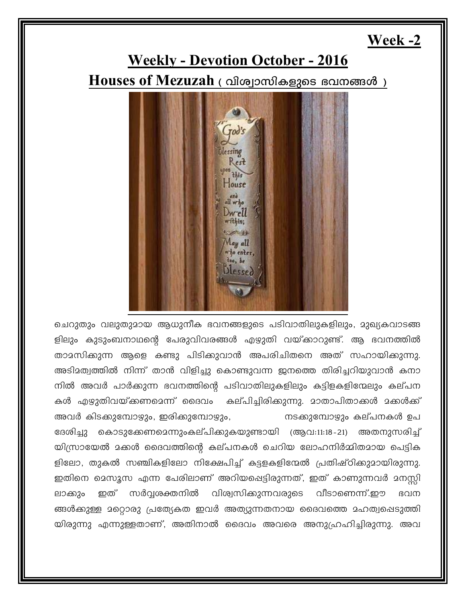## Week -2

## **Weekly - Devotion October - 2016** Houses of Mezuzah ( വിശ്വാസികളുടെ ഭവനങ്ങൾ )



ചെറുതും വലുതുമായ ആധുനീക ഭവനങ്ങളുടെ പടിവാതിലുകളിലും, മുഖ്യകവാടങ്ങ ളിലും കുടുംബനാഥന്റെ പേരുവിവരങ്ങൾ എഴുതി വയ്ക്കാറുണ്ട്. ആ ഭവനത്തിൽ താമസിക്കുന്ന ആളെ കണ്ടു പിടിക്കുവാൻ അപരിചിതനെ അത് സഹായിക്കുന്നു. അടിമത്വത്തിൽ നിന്ന് താൻ വിളിച്ചു കൊണ്ടുവന്ന ജനത്തെ തിരിച്ചറിയുവാൻ കനാ നിൽ അവർ പാർക്കുന്ന ഭവനത്തിന്റെ പടിവാതിലുകളിലും കട്ടിളകളിന്മേലും കല്പന കൾ എഴുതിവയ്ക്കണമെന്ന് ദൈവം കല്പിച്ചിരിക്കുന്നു. മാതാപിതാക്കൾ മക്കൾക്ക് അവർ കിടക്കുമ്പോഴും, ഇരിക്കുമ്പോഴും, നടക്കുമ്പോഴും കല്പനകൾ ഉപ ദേശിച്ചു കൊടുക്കേണമെന്നുംകല്പിക്കുകയുണ്ടായി (ആവ:11:18-21) അതനുസരിച്ച് യിസ്രായേൽ മക്കൾ ദൈവത്തിന്റെ കല്പനകൾ ചെറിയ ലോഹനിർമ്മിതമായ പെട്ടിക ളിലോ, തുകൽ സഞ്ചികളിലോ നിക്ഷേപിച്ച് കട്ടളകളിന്മേൽ പ്രതിഷ്ഠിക്കുമായിരുന്നു. ഇതിനെ മെസൂസ എന്ന പേരിലാണ് അറിയപ്പെട്ടിരുന്നത്, ഇത് കാണുന്നവർ മനസ്സി ഇത് സർവ്വശക്തനിൽ വിശ്വസിക്കുന്നവരുടെ വീടാണെന്ന്.ഈ ലാക്കും ഭവന ങ്ങൾക്കുള്ള മറ്റൊരു പ്രത്യേകത ഇവർ അത്യുന്നതനായ ദൈവത്തെ മഹത്വപ്പെടുത്തി യിരുന്നു എന്നുള്ളതാണ്, അതിനാൽ ദൈവം അവരെ അനുഹ്രഹിച്ചിരുന്നു. അവ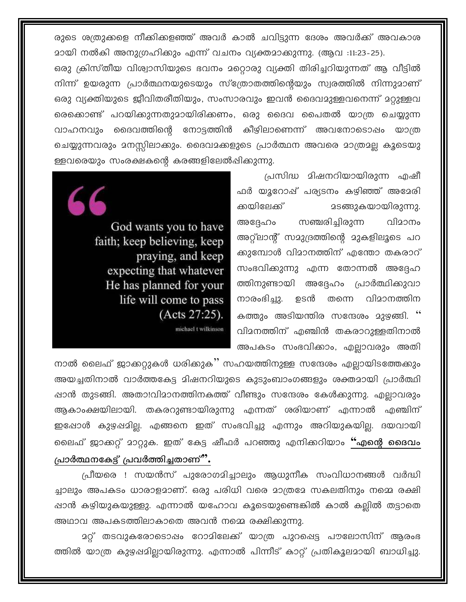രുടെ ശത്രുക്കളെ നീക്കികളഞ്ഞ് അവർ കാൽ ചവിട്ടുന്ന ദേശം അവർക്ക് അവകാശ മായി നൽകി അനുഗ്രഹിക്കും എന്ന് വചനം വ്യക്തമാക്കുന്നു. (ആവ :11:23-25). ഒരു ക്രിസ്തീയ വിശ്വാസിയുടെ ഭവനം മറ്റൊരു വ്യക്തി തിരിച്ചറിയുന്നത് ആ വീട്ടിൽ നിന്ന് ഉയരുന്ന പ്രാർത്ഥനയുടെയും സ്ത്രോതത്തിന്റെയും സ്വരത്തിൽ നിന്നുമാണ് ഒരു വ്യക്തിയുടെ ജീവിതരീതിയും, സംസാരവും ഇവൻ ദൈവമുള്ളവനെന്ന് മറ്റുള്ളവ രെക്കൊണ്ട് പറയിക്കുന്നതുമായിരിക്കണം, ഒരു ദൈവ പൈതൽ യാത്ര ചെയ്യുന്ന മൈവെത്തിന്റെ നോട്ടത്തിൻ കീഴിലാണെന്ന് അവനോടൊഷം വാഹനവും യാത്ര ചെയ്യുന്നവരും മനസ്സിലാക്കും. ദൈവമക്കളുടെ പ്രാർത്ഥന അവരെ മാത്രമല്ല കൂടെയു ള്ളവരെയും സംരക്ഷകന്റെ കരങ്ങളിലേൽഷിക്കുന്നു.

> പ്രസിദ്ധ മിഷനറിയായിരുന്ന എഷീ ഫർ യൂറോഷ് പര്യടനം കഴിഞ്ഞ് അമേരി ക്കയിലേക്ക് **25ങ്ങുകയായിരുന്നു.** സഞ്ചരിച്ചിരുന്ന വിമാനം അദ്ദേഹം അറ്റ്ലാന്റ് സമുദ്രത്തിന്റെ മുകളിലൂടെ പറ ക്കുമ്പോൾ വിമാനത്തിന് എന്തോ തകരാറ് സംഭവിക്കുന്നു എന്ന തോന്നൽ അദ്ദേഹ ത്തിനുണ്ടായി അദ്ദേഹം പ്രാർത്ഥിക്കുവാ നാരംഭിച്ചു. വിമാനത്തിന ഉടൻ തന്നെ കത്തും അടിയന്തിര സന്ദേശം മുഴങ്ങി. '' വിമനത്തിന് എഞ്ചിൻ തകരാറുള്ളതിനാൽ അപകടം സംഭവിക്കാം, എല്ലാവരും അതി

God wants you to have faith; keep believing, keep praying, and keep expecting that whatever He has planned for your life will come to pass  $(Acts 27:25).$ michael t wilkinson

നാൽ ലൈഫ് ജാക്കറ്റുകൾ ധരിക്കുക്' സഹയത്തിനുള്ള സന്ദേശം എല്ലായിടത്തേക്കും അയച്ചതിനാൽ വാർത്തകേട്ട മിഷനറിയുടെ കുടുംബാംഗങ്ങളും ശക്തമായി പ്രാർത്ഥി ഷാൻ തുടങ്ങി. അതാ!വിമാനത്തിനകത്ത് വീണ്ടും സന്ദേശം കേൾക്കുന്നു. എലാവരും ആകാംക്ഷയിലായി. തകരറുണ്ടായിരുന്നു എന്നത് ശരിയാണ് എന്നാൽ എഞ്ചിന് ഇഷോൾ കുഴപ്പമില്ല. എങ്ങനെ ഇത് സംഭവിച്ചു എന്നും അറിയുകയില്ല. ദയവായി ലൈഫ് ജാക്കറ്റ് മാറ്റുക. ഇത് കേട്ട ഷീഫർ പറഞ്ഞു എനിക്കറിയാം "എന്റെ ദൈവം

പ്രാർത്ഥനകേട്ട് പ്രവർത്തിച്ചതാണ്".

പ്രീയരെ ! സയൻസ് പുരോഗമിച്ചാലും ആധുനീക സംവിധാനങ്ങൾ വർദ്ധി ച്ചാലും അപകടം ധാരാളമാണ്. ഒരു പരിധി വരെ മാത്രമേ സകലതിനും നമ്മെ രക്ഷി ഷാൻ കഴിയുകയുള്ളു. എന്നാൽ യഹോവ കൂടെയുണ്ടെങ്കിൽ കാൽ കല്ലിൽ തട്ടാതെ അഥാവ അപകടത്തിലാകാതെ അവൻ നമ്മെ രക്ഷിക്കുന്നു.

<u>ാറ്റ്</u> തടവുകരോടൊഷം റോമിലേക്ക് യാത്ര പുറപ്പെട്ട പൗലോസിന് ആരംഭ ത്തിൽ യാത്ര കുഴപ്പമില്ലായിരുന്നു. എന്നാൽ പിന്നീട് കാറ്റ് പ്രതികൂലമായി ബാധിച്ചു.